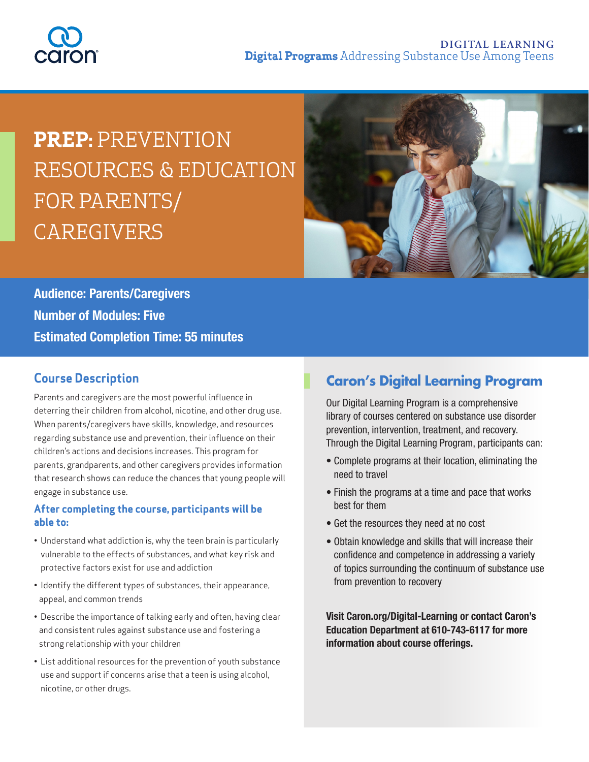

# **PREP:** PREVENTION RESOURCES & EDUCATION FOR PARENTS/ CAREGIVERS



**Audience: Parents/Caregivers Number of Modules: Five Estimated Completion Time: 55 minutes**

#### **Course Description**

Parents and caregivers are the most powerful influence in deterring their children from alcohol, nicotine, and other drug use. When parents/caregivers have skills, knowledge, and resources regarding substance use and prevention, their influence on their children's actions and decisions increases. This program for parents, grandparents, and other caregivers provides information that research shows can reduce the chances that young people will engage in substance use.

#### **After completing the course, participants will be able to:**

- Understand what addiction is, why the teen brain is particularly vulnerable to the effects of substances, and what key risk and protective factors exist for use and addiction
- Identify the different types of substances, their appearance, appeal, and common trends
- Describe the importance of talking early and often, having clear and consistent rules against substance use and fostering a strong relationship with your children
- List additional resources for the prevention of youth substance use and support if concerns arise that a teen is using alcohol, nicotine, or other drugs.

## **Caron's Digital Learning Program**

Our Digital Learning Program is a comprehensive library of courses centered on substance use disorder prevention, intervention, treatment, and recovery. Through the Digital Learning Program, participants can:

- Complete programs at their location, eliminating the need to travel
- Finish the programs at a time and pace that works best for them
- Get the resources they need at no cost
- Obtain knowledge and skills that will increase their confidence and competence in addressing a variety of topics surrounding the continuum of substance use from prevention to recovery

**Visit Caron.org/Digital-Learning or contact Caron's Education Department at 610-743-6117 for more information about course offerings.**